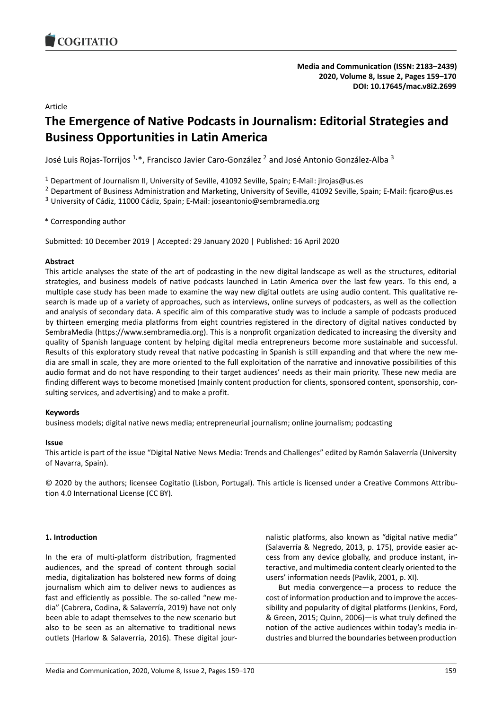<span id="page-0-0"></span>

Article

# **The Emergence of Native Podcasts in Journalism: Editorial Strategies and Business Opportunities in Latin America**

José Luis Rojas-Torrijos  $^{1,\ast}$ , Francisco Javier Caro-González  $^2$  and José Antonio González-Alba  $^3$ 

<sup>1</sup> Department of Journalism II, University of Seville, 41092 Seville, Spain; E-Mail: jlrojas@us.es

<sup>2</sup> Department of Business Administration and Marketing, University of Seville, 41092 Seville, Spain; E-Mail: fjcaro@us.es

<sup>3</sup> University of Cádiz, 11000 Cádiz, Spain; E-Mail: joseantonio@sembramedia.org

\* Corresponding author

Submitted: 10 December 2019 | Accepted: 29 January 2020 | Published: 16 April 2020

## **Abstract**

This article analyses the state of the art of podcasting in the new digital landscape as well as the structures, editorial strategies, and business models of native podcasts launched in Latin America over the last few years. To this end, a multiple case study has been made to examine the way new digital outlets are using audio content. This qualitative research is made up of a variety of approaches, such as interviews, online surveys of podcasters, as well as the collection and analysis of secondary data. A specific aim of this comparative study was to include a sample of podcasts produced by thirteen emerging media platforms from eight countries registered in the directory of digital natives conducted by SembraMedia(<https://www.sembramedia.org>). This is a nonprofit organization dedicated to increasing the diversity and quality of Spanish language content by helping digital media entrepreneurs become more sustainable and successful. Results of this exploratory study reveal that native podcasting in Spanish is still expanding and that where the new media are small in scale, they are more oriented to the full exploitation of the narrative and innovative possibilities of this audio format and do not have responding to their target audiences' needs as their main priority. These new media are finding different ways to become monetised (mainly content production for clients, sponsored content, sponsorship, consulting services, and advertising) and to make a profit.

### **Keywords**

business models; digital native news media; entrepreneurial journalism; online journalism; podcasting

### **Issue**

This article is part of the issue "Digital Native News Media: Trends and Challenges" edited by Ramón Salaverría (University of Navarra, Spain).

© 2020 by the authors; licensee Cogitatio (Lisbon, Portugal). This article is licensed under a Creative Commons Attribution 4.0 International License (CC BY).

# **1. Introduction**

In the era of multi-platform distribution, fragmented audiences, and the spread of content through social media, digitalization has bolstered new forms of doing journalism which aim to deliver news to audiences as fast and efficiently as possible. The so-called "new media" (Cabrera, Codina, & Salaverría, 2019) have not only been able to adapt themselves to the new scenario but also to be seen as an alternative to traditional news outlets (Harlow & Salaverría, 2016). These digital jour-

nalistic platforms, also known as "digital native media" (Salaverría & Negredo, 2013, p. 175), provide easier access from any device globally, and produce instant, interactive, and multimedia content clearly oriented to the users' information needs (Pavlik, 2001, p. XI).

But media convergence—a process to reduce the cost of information production and to improve the accessibility and popularity of digital platforms (Jenkins, Ford, & Green, 2015; Quinn, 2006)—is what truly defined the notion of the active audiences within today's media industries and blurred the boundaries between production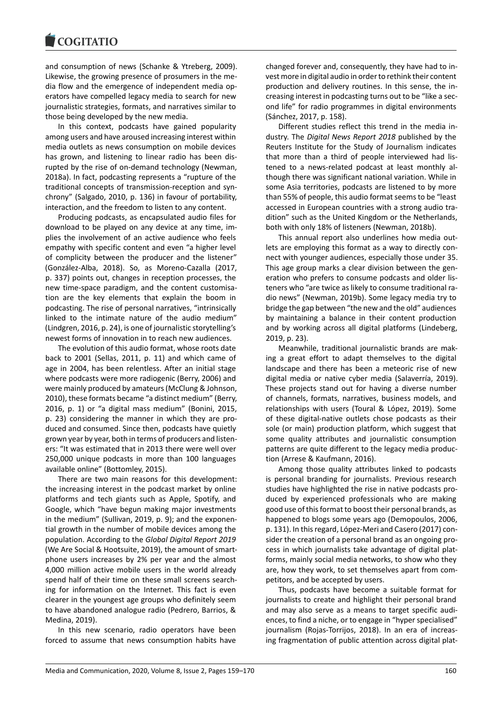and consumption of news (Schanke & Ytreberg, 2009). Likewise, the growing presence of prosumers in the media flow and the emergence of independent media operators have compelled legacy media to search for new journalistic strategies, formats, and narratives similar to those being developed by the new media.

In this context, podcasts have gained popularity among users and have aroused increasing interest within media outlets as news consumption on mobile devices has grown, and listening to linear radio has been disrupted by the rise of on-demand technology (Newman, 2018a). In fact, podcasting represents a "rupture of the traditional concepts of transmission-reception and synchrony" (Salgado, 2010, p. 136) in favour of portability, interaction, and the freedom to listen to any content.

Producing podcasts, as encapsulated audio files for download to be played on any device at any time, implies the involvement of an active audience who feels empathy with specific content and even "a higher level of complicity between the producer and the listener" (González-Alba, 2018). So, as Moreno-Cazalla (2017, p. 337) points out, changes in reception processes, the new time-space paradigm, and the content customisation are the key elements that explain the boom in podcasting. The rise of personal narratives, "intrinsically linked to the intimate nature of the audio medium" (Lindgren, 2016, p. 24), is one of journalistic storytelling's newest forms of innovation in to reach new audiences.

The evolution of this audio format, whose roots date back to 2001 (Sellas, 2011, p. 11) and which came of age in 2004, has been relentless. After an initial stage where podcasts were more radiogenic (Berry, 2006) and were mainly produced by amateurs (McClung & Johnson, 2010), these formats became "a distinct medium" (Berry, 2016, p. 1) or "a digital mass medium" (Bonini, 2015, p. 23) considering the manner in which they are produced and consumed. Since then, podcasts have quietly grown year by year, both in terms of producers and listeners: "It was estimated that in 2013 there were well over 250,000 unique podcasts in more than 100 languages available online" (Bottomley, 2015).

There are two main reasons for this development: the increasing interest in the podcast market by online platforms and tech giants such as Apple, Spotify, and Google, which "have begun making major investments in the medium" (Sullivan, 2019, p. 9); and the exponential growth in the number of mobile devices among the population. According to the *Global Digital Report 2019* (We Are Social & Hootsuite, 2019), the amount of smartphone users increases by 2% per year and the almost 4,000 million active mobile users in the world already spend half of their time on these small screens searching for information on the Internet. This fact is even clearer in the youngest age groups who definitely seem to have abandoned analogue radio (Pedrero, Barrios, & Medina, 2019).

In this new scenario, radio operators have been forced to assume that news consumption habits have

changed forever and, consequently, they have had to invest more in digital audio in order to rethink their content production and delivery routines. In this sense, the increasing interest in podcasting turns out to be "like a second life" for radio programmes in digital environments (Sánchez, 2017, p. 158).

Different studies reflect this trend in the media industry. The *Digital News Report 2018* published by the Reuters Institute for the Study of Journalism indicates that more than a third of people interviewed had listened to a news-related podcast at least monthly although there was significant national variation. While in some Asia territories, podcasts are listened to by more than 55% of people, this audio format seems to be "least accessed in European countries with a strong audio tradition" such as the United Kingdom or the Netherlands, both with only 18% of listeners (Newman, 2018b).

This annual report also underlines how media outlets are employing this format as a way to directly connect with younger audiences, especially those under 35. This age group marks a clear division between the generation who prefers to consume podcasts and older listeners who "are twice as likely to consume traditional radio news" (Newman, 2019b). Some legacy media try to bridge the gap between "the new and the old" audiences by maintaining a balance in their content production and by working across all digital platforms (Lindeberg, 2019, p. 23).

Meanwhile, traditional journalistic brands are making a great effort to adapt themselves to the digital landscape and there has been a meteoric rise of new digital media or native cyber media (Salaverría, 2019). These projects stand out for having a diverse number of channels, formats, narratives, business models, and relationships with users (Toural & López, 2019). Some of these digital-native outlets chose podcasts as their sole (or main) production platform, which suggest that some quality attributes and journalistic consumption patterns are quite different to the legacy media production (Arrese & Kaufmann, 2016).

Among those quality attributes linked to podcasts is personal branding for journalists. Previous research studies have highlighted the rise in native podcasts produced by experienced professionals who are making good use of this format to boost their personal brands, as happened to blogs some years ago (Demopoulos, 2006, p. 131). In this regard, López-Meri and Casero (2017) consider the creation of a personal brand as an ongoing process in which journalists take advantage of digital platforms, mainly social media networks, to show who they are, how they work, to set themselves apart from competitors, and be accepted by users.

Thus, podcasts have become a suitable format for journalists to create and highlight their personal brand and may also serve as a means to target specific audiences, to find a niche, or to engage in "hyper specialised" journalism (Rojas-Torrijos, 2018). In an era of increasing fragmentation of public attention across digital plat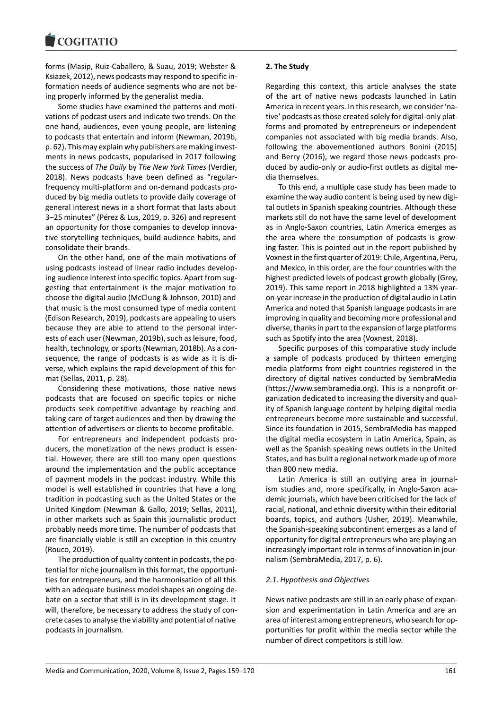forms (Masip, Ruiz-Caballero, & Suau, 2019; Webster & Ksiazek, 2012), news podcasts may respond to specific information needs of audience segments who are not being properly informed by the generalist media.

Some studies have examined the patterns and motivations of podcast users and indicate two trends. On the one hand, audiences, even young people, are listening to podcasts that entertain and inform (Newman, 2019b, p. 62). This may explain why publishers are making investments in news podcasts, popularised in 2017 following the success of *The Daily* by *The New York Times* (Verdier, 2018). News podcasts have been defined as "regularfrequency multi-platform and on-demand podcasts produced by big media outlets to provide daily coverage of general interest news in a short format that lasts about 3–25 minutes" (Pérez & Lus, 2019, p. 326) and represent an opportunity for those companies to develop innovative storytelling techniques, build audience habits, and consolidate their brands.

On the other hand, one of the main motivations of using podcasts instead of linear radio includes developing audience interest into specific topics. Apart from suggesting that entertainment is the major motivation to choose the digital audio (McClung & Johnson, 2010) and that music is the most consumed type of media content (Edison Research, 2019), podcasts are appealing to users because they are able to attend to the personal interests of each user (Newman, 2019b), such as leisure, food, health, technology, or sports (Newman, 2018b). As a consequence, the range of podcasts is as wide as it is diverse, which explains the rapid development of this format (Sellas, 2011, p. 28).

Considering these motivations, those native news podcasts that are focused on specific topics or niche products seek competitive advantage by reaching and taking care of target audiences and then by drawing the attention of advertisers or clients to become profitable.

For entrepreneurs and independent podcasts producers, the monetization of the news product is essential. However, there are still too many open questions around the implementation and the public acceptance of payment models in the podcast industry. While this model is well established in countries that have a long tradition in podcasting such as the United States or the United Kingdom (Newman & Gallo, 2019; Sellas, 2011), in other markets such as Spain this journalistic product probably needs more time. The number of podcasts that are financially viable is still an exception in this country (Rouco, 2019).

The production of quality content in podcasts, the potential for niche journalism in this format, the opportunities for entrepreneurs, and the harmonisation of all this with an adequate business model shapes an ongoing debate on a sector that still is in its development stage. It will, therefore, be necessary to address the study of concrete cases to analyse the viability and potential of native podcasts in journalism.

## **2. The Study**

Regarding this context, this article analyses the state of the art of native news podcasts launched in Latin America in recent years. In this research, we consider 'native' podcasts as those created solely for digital-only platforms and promoted by entrepreneurs or independent companies not associated with big media brands. Also, following the abovementioned authors Bonini (2015) and Berry (2016), we regard those news podcasts produced by audio-only or audio-first outlets as digital media themselves.

To this end, a multiple case study has been made to examine the way audio content is being used by new digital outlets in Spanish speaking countries. Although these markets still do not have the same level of development as in Anglo-Saxon countries, Latin America emerges as the area where the consumption of podcasts is growing faster. This is pointed out in the report published by Voxnest in the first quarter of 2019: Chile, Argentina, Peru, and Mexico, in this order, are the four countries with the highest predicted levels of podcast growth globally (Grey, 2019). This same report in 2018 highlighted a 13% yearon-year increase in the production of digital audio in Latin America and noted that Spanish language podcasts in are improving in quality and becoming more professional and diverse, thanks in part to the expansion of large platforms such as Spotify into the area (Voxnest, 2018).

Specific purposes of this comparative study include a sample of podcasts produced by thirteen emerging media platforms from eight countries registered in the directory of digital natives conducted by SembraMedia [\(https://www.sembramedia.org\)](https://www.sembramedia.org). This is a nonprofit organization dedicated to increasing the diversity and quality of Spanish language content by helping digital media entrepreneurs become more sustainable and successful. Since its foundation in 2015, SembraMedia has mapped the digital media ecosystem in Latin America, Spain, as well as the Spanish speaking news outlets in the United States, and has built a regional network made up of more than 800 new media.

Latin America is still an outlying area in journalism studies and, more specifically, in Anglo-Saxon academic journals, which have been criticised for the lack of racial, national, and ethnic diversity within their editorial boards, topics, and authors (Usher, 2019). Meanwhile, the Spanish-speaking subcontinent emerges as a land of opportunity for digital entrepreneurs who are playing an increasingly important role in terms of innovation in journalism (SembraMedia, 2017, p. 6).

### *2.1. Hypothesis and Objectives*

News native podcasts are still in an early phase of expansion and experimentation in Latin America and are an area of interest among entrepreneurs, who search for opportunities for profit within the media sector while the number of direct competitors is still low.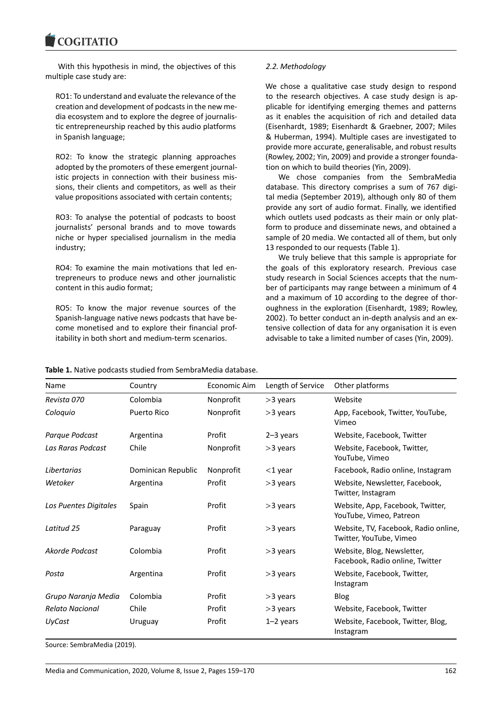With this hypothesis in mind, the objectives of this multiple case study are:

RO1: To understand and evaluate the relevance of the creation and development of podcasts in the new media ecosystem and to explore the degree of journalistic entrepreneurship reached by this audio platforms in Spanish language;

RO2: To know the strategic planning approaches adopted by the promoters of these emergent journalistic projects in connection with their business missions, their clients and competitors, as well as their value propositions associated with certain contents;

RO3: To analyse the potential of podcasts to boost journalists' personal brands and to move towards niche or hyper specialised journalism in the media industry;

RO4: To examine the main motivations that led entrepreneurs to produce news and other journalistic content in this audio format;

RO5: To know the major revenue sources of the Spanish-language native news podcasts that have become monetised and to explore their financial profitability in both short and medium-term scenarios.

# *2.2. Methodology*

We chose a qualitative case study design to respond to the research objectives. A case study design is applicable for identifying emerging themes and patterns as it enables the acquisition of rich and detailed data (Eisenhardt, 1989; Eisenhardt & Graebner, 2007; Miles & Huberman, 1994). Multiple cases are investigated to provide more accurate, generalisable, and robust results (Rowley, 2002; Yin, 2009) and provide a stronger foundation on which to build theories (Yin, 2009).

We chose companies from the SembraMedia database. This directory comprises a sum of 767 digital media (September 2019), although only 80 of them provide any sort of audio format. Finally, we identified which outlets used podcasts as their main or only platform to produce and disseminate news, and obtained a sample of 20 media. We contacted all of them, but only 13 responded to our requests (Table 1).

We truly believe that this sample is appropriate for the goals of this exploratory research. Previous case study research in Social Sciences accepts that the number of participants may range between a minimum of 4 and a maximum of 10 according to the degree of thoroughness in the exploration (Eisenhardt, 1989; Rowley, 2002). To better conduct an in-depth analysis and an extensive collection of data for any organisation it is even advisable to take a limited number of cases (Yin, 2009).

| Table 1. Native podcasts studied from SembraMedia database. |
|-------------------------------------------------------------|
|-------------------------------------------------------------|

| Name                   | Country            | Economic Aim | Length of Service | Other platforms                                                 |
|------------------------|--------------------|--------------|-------------------|-----------------------------------------------------------------|
| Revista 070            | Colombia           | Nonprofit    | >3 years          | Website                                                         |
| Coloquio               | Puerto Rico        | Nonprofit    | $>3$ years        | App, Facebook, Twitter, YouTube,<br>Vimeo                       |
| Parque Podcast         | Argentina          | Profit       | $2-3$ years       | Website, Facebook, Twitter                                      |
| Las Raras Podcast      | Chile              | Nonprofit    | >3 years          | Website, Facebook, Twitter,<br>YouTube, Vimeo                   |
| Libertarias            | Dominican Republic | Nonprofit    | $<$ 1 year        | Facebook, Radio online, Instagram                               |
| Wetoker                | Argentina          | Profit       | $>3$ years        | Website, Newsletter, Facebook,<br>Twitter, Instagram            |
| Los Puentes Digitales  | Spain              | Profit       | >3 years          | Website, App, Facebook, Twitter,<br>YouTube, Vimeo, Patreon     |
| Latitud 25             | Paraguay           | Profit       | >3 years          | Website, TV, Facebook, Radio online,<br>Twitter, YouTube, Vimeo |
| Akorde Podcast         | Colombia           | Profit       | >3 years          | Website, Blog, Newsletter,<br>Facebook, Radio online, Twitter   |
| Posta                  | Argentina          | Profit       | >3 years          | Website, Facebook, Twitter,<br>Instagram                        |
| Grupo Naranja Media    | Colombia           | Profit       | >3 years          | Blog                                                            |
| <b>Relato Nacional</b> | Chile              | Profit       | >3 years          | Website, Facebook, Twitter                                      |
| <b>UyCast</b>          | Uruguay            | Profit       | $1-2$ years       | Website, Facebook, Twitter, Blog,<br>Instagram                  |

Source: SembraMedia (2019).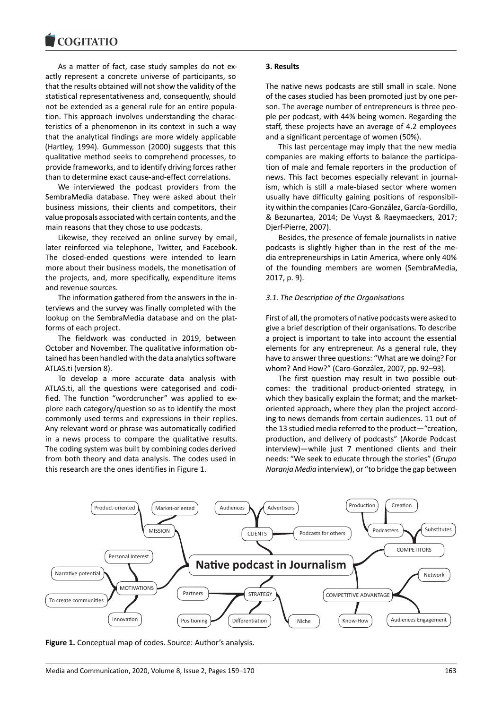As a matter of fact, case study samples do not exactly represent a concrete universe of participants, so that the results obtained will not show the validity of the statistical representativeness and, consequently, should not be extended as a general rule for an entire population. This approach involves understanding the characteristics of a phenomenon in its context in such a way that the analytical findings are more widely applicable (Hartley, 1994). Gummesson (2000) suggests that this qualitative method seeks to comprehend processes, to provide frameworks, and to identify driving forces rather than to determine exact cause-and-effect correlations.

We interviewed the podcast providers from the SembraMedia database. They were asked about their business missions, their clients and competitors, their value proposals associated with certain contents, and the main reasons that they chose to use podcasts.

Likewise, they received an online survey by email, later reinforced via telephone, Twitter, and Facebook. The closed-ended questions were intended to learn more about their business models, the monetisation of the projects, and, more specifically, expenditure items and revenue sources.

The information gathered from the answers in the interviews and the survey was finally completed with the lookup on the SembraMedia database and on the platforms of each project.

The fieldwork was conducted in 2019, between October and November. The qualitative information obtained has been handled with the data analytics software ATLAS.ti (version 8).

To develop a more accurate data analysis with ATLAS.ti, all the questions were categorised and codified. The function "wordcruncher" was applied to explore each category/question so as to identify the most commonly used terms and expressions in their replies. Any relevant word or phrase was automatically codified in a news process to compare the qualitative results. The coding system was built by combining codes derived from both theory and data analysis. The codes used in this research are the ones identifies in Figure 1.

### **3. Results**

The native news podcasts are still small in scale. None of the cases studied has been promoted just by one person. The average number of entrepreneurs is three people per podcast, with 44% being women. Regarding the staff, these projects have an average of 4.2 employees and a significant percentage of women (50%).

This last percentage may imply that the new media companies are making efforts to balance the participation of male and female reporters in the production of news. This fact becomes especially relevant in journalism, which is still a male-biased sector where women usually have difficulty gaining positions of responsibility within the companies (Caro-González, García-Gordillo, & Bezunartea, 2014; De Vuyst & Raeymaeckers, 2017; Djerf-Pierre, 2007).

Besides, the presence of female journalists in native podcasts is slightly higher than in the rest of the media entrepreneurships in Latin America, where only 40% of the founding members are women (SembraMedia, 2017, p. 9).

### *3.1. The Description of the Organisations*

First of all, the promoters of native podcasts were asked to give a brief description of their organisations. To describe a project is important to take into account the essential elements for any entrepreneur. As a general rule, they have to answer three questions: "What are we doing? For whom? And How?" (Caro-González, 2007, pp. 92–93).

The first question may result in two possible outcomes: the traditional product-oriented strategy, in which they basically explain the format; and the marketoriented approach, where they plan the project according to news demands from certain audiences. 11 out of the 13 studied media referred to the product—"creation, production, and delivery of podcasts" (Akorde Podcast interview)—while just 7 mentioned clients and their needs: "We seek to educate through the stories" (*Grupo Naranja Media* interview), or "to bridge the gap between



**Figure 1.** Conceptual map of codes. Source: Author's analysis.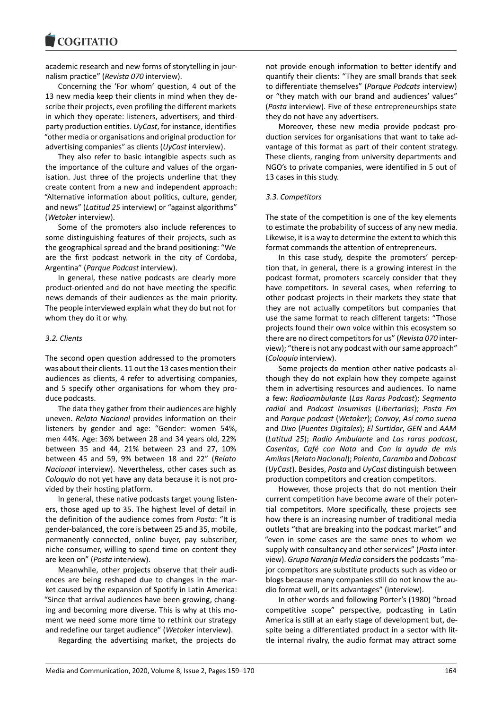academic research and new forms of storytelling in journalism practice" (*Revista 070* interview).

Concerning the 'For whom' question, 4 out of the 13 new media keep their clients in mind when they describe their projects, even profiling the different markets in which they operate: listeners, advertisers, and thirdparty production entities. *UyCast*, for instance, identifies "other media or organisations and original production for advertising companies" as clients (*UyCast* interview).

They also refer to basic intangible aspects such as the importance of the culture and values of the organisation. Just three of the projects underline that they create content from a new and independent approach: "Alternative information about politics, culture, gender, and news" (*Latitud 25* interview) or "against algorithms" (*Wetoker* interview).

Some of the promoters also include references to some distinguishing features of their projects, such as the geographical spread and the brand positioning: "We are the first podcast network in the city of Cordoba, Argentina" (*Parque Podcast* interview).

In general, these native podcasts are clearly more product-oriented and do not have meeting the specific news demands of their audiences as the main priority. The people interviewed explain what they do but not for whom they do it or why.

## *3.2. Clients*

The second open question addressed to the promoters was about their clients. 11 out the 13 cases mention their audiences as clients, 4 refer to advertising companies, and 5 specify other organisations for whom they produce podcasts.

The data they gather from their audiences are highly uneven. *Relato Nacional* provides information on their listeners by gender and age: "Gender: women 54%, men 44%. Age: 36% between 28 and 34 years old, 22% between 35 and 44, 21% between 23 and 27, 10% between 45 and 59, 9% between 18 and 22" (*Relato Nacional* interview). Nevertheless, other cases such as *Coloquio* do not yet have any data because it is not provided by their hosting platform.

In general, these native podcasts target young listeners, those aged up to 35. The highest level of detail in the definition of the audience comes from *Posta*: "It is gender-balanced, the core is between 25 and 35, mobile, permanently connected, online buyer, pay subscriber, niche consumer, willing to spend time on content they are keen on" (*Posta* interview).

Meanwhile, other projects observe that their audiences are being reshaped due to changes in the market caused by the expansion of Spotify in Latin America: "Since that arrival audiences have been growing, changing and becoming more diverse. This is why at this moment we need some more time to rethink our strategy and redefine our target audience" (*Wetoker* interview).

Regarding the advertising market, the projects do

not provide enough information to better identify and quantify their clients: "They are small brands that seek to differentiate themselves" (*Parque Podcats* interview) or "they match with our brand and audiences' values" (*Posta* interview). Five of these entrepreneurships state they do not have any advertisers.

Moreover, these new media provide podcast production services for organisations that want to take advantage of this format as part of their content strategy. These clients, ranging from university departments and NGO's to private companies, were identified in 5 out of 13 cases in this study.

### *3.3. Competitors*

The state of the competition is one of the key elements to estimate the probability of success of any new media. Likewise, it is a way to determine the extent to which this format commands the attention of entrepreneurs.

In this case study, despite the promoters' perception that, in general, there is a growing interest in the podcast format, promoters scarcely consider that they have competitors. In several cases, when referring to other podcast projects in their markets they state that they are not actually competitors but companies that use the same format to reach different targets: "Those projects found their own voice within this ecosystem so there are no direct competitors for us" (*Revista 070* interview); "there is not any podcast with our same approach" (*Coloquio* interview).

Some projects do mention other native podcasts although they do not explain how they compete against them in advertising resources and audiences. To name a few: *Radioambulante* (*Las Raras Podcast*); *Segmento radial* and *Podcast Insumisas* (*Libertarias*); *Posta Fm* and *Parque podcast* (*Wetoker*); *Convoy*, *Así como suena* and *Dixo* (*Puentes Digitales*); *El Surtidor*, *GEN* and *AAM* (*Latitud 25*); *Radio Ambulante* and *Las raras podcast*, *Caseritas*, *Café con Nata* and *Con la ayuda de mis Amikas*(*Relato Nacional*); *Polenta*, *Caramba* and *Dobcast* (*UyCast*). Besides, *Posta* and *UyCast* distinguish between production competitors and creation competitors.

However, those projects that do not mention their current competition have become aware of their potential competitors. More specifically, these projects see how there is an increasing number of traditional media outlets "that are breaking into the podcast market" and "even in some cases are the same ones to whom we supply with consultancy and other services" (*Posta* interview). *Grupo Naranja Media* considers the podcasts "major competitors are substitute products such as video or blogs because many companies still do not know the audio format well, or its advantages" (interview).

In other words and following Porter's (1980) "broad competitive scope" perspective, podcasting in Latin America is still at an early stage of development but, despite being a differentiated product in a sector with little internal rivalry, the audio format may attract some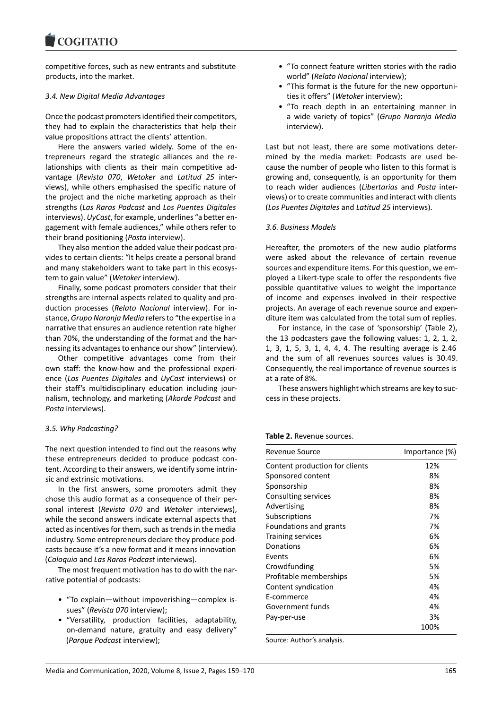# **COGITATIO**

competitive forces, such as new entrants and substitute products, into the market.

### *3.4. New Digital Media Advantages*

Once the podcast promoters identified their competitors, they had to explain the characteristics that help their value propositions attract the clients' attention.

Here the answers varied widely. Some of the entrepreneurs regard the strategic alliances and the relationships with clients as their main competitive advantage (*Revista 070*, *Wetoker* and *Latitud 25* interviews), while others emphasised the specific nature of the project and the niche marketing approach as their strengths (*Las Raras Podcast* and *Los Puentes Digitales* interviews). *UyCast*, for example, underlines "a better engagement with female audiences," while others refer to their brand positioning (*Posta* interview).

They also mention the added value their podcast provides to certain clients: "It helps create a personal brand and many stakeholders want to take part in this ecosystem to gain value" (*Wetoker* interview).

Finally, some podcast promoters consider that their strengths are internal aspects related to quality and production processes (*Relato Nacional* interview). For instance, *Grupo Naranja Media* refers to "the expertise in a narrative that ensures an audience retention rate higher than 70%, the understanding of the format and the harnessing its advantages to enhance our show" (interview).

Other competitive advantages come from their own staff: the know-how and the professional experience (*Los Puentes Digitales* and *UyCast* interviews) or their staff's multidisciplinary education including journalism, technology, and marketing (*Akorde Podcast* and *Posta* interviews).

### *3.5. Why Podcasting?*

The next question intended to find out the reasons why these entrepreneurs decided to produce podcast content. According to their answers, we identify some intrinsic and extrinsic motivations.

In the first answers, some promoters admit they chose this audio format as a consequence of their personal interest (*Revista 070* and *Wetoker* interviews), while the second answers indicate external aspects that acted as incentives for them, such as trends in the media industry. Some entrepreneurs declare they produce podcasts because it's a new format and it means innovation (*Coloquio* and *Las Raras Podcast* interviews).

The most frequent motivation has to do with the narrative potential of podcasts:

- "To explain—without impoverishing—complex issues" (*Revista 070* interview);
- "Versatility, production facilities, adaptability, on-demand nature, gratuity and easy delivery" (*Parque Podcast* interview);
- "To connect feature written stories with the radio world" (*Relato Nacional* interview);
- "This format is the future for the new opportunities it offers" (*Wetoker* interview);
- "To reach depth in an entertaining manner in a wide variety of topics" (*Grupo Naranja Media* interview).

Last but not least, there are some motivations determined by the media market: Podcasts are used because the number of people who listen to this format is growing and, consequently, is an opportunity for them to reach wider audiences (*Libertarias* and *Posta* interviews) or to create communities and interact with clients (*Los Puentes Digitales* and *Latitud 25* interviews).

## *3.6. Business Models*

Hereafter, the promoters of the new audio platforms were asked about the relevance of certain revenue sources and expenditure items. For this question, we employed a Likert-type scale to offer the respondents five possible quantitative values to weight the importance of income and expenses involved in their respective projects. An average of each revenue source and expenditure item was calculated from the total sum of replies.

For instance, in the case of 'sponsorship' (Table 2), the 13 podcasters gave the following values: 1, 2, 1, 2, 1, 3, 1, 5, 3, 1, 4, 4, 4. The resulting average is 2.46 and the sum of all revenues sources values is 30.49. Consequently, the real importance of revenue sources is at a rate of 8%.

These answers highlight which streams are key to success in these projects.

| Revenue Source                 | Importance (%) |
|--------------------------------|----------------|
| Content production for clients | 12%            |
| Sponsored content              | 8%             |
| Sponsorship                    | 8%             |
| Consulting services            | 8%             |
| Advertising                    | 8%             |
| Subscriptions                  | 7%             |
| Foundations and grants         | 7%             |
| <b>Training services</b>       | 6%             |
| Donations                      | 6%             |
| Events                         | 6%             |
| Crowdfunding                   | 5%             |
| Profitable memberships         | 5%             |
| Content syndication            | 4%             |
| E-commerce                     | 4%             |
| Government funds               | 4%             |
| Pay-per-use                    | 3%             |
|                                | 100%           |

Source: Author's analysis.

#### **Table 2.** Revenue sources.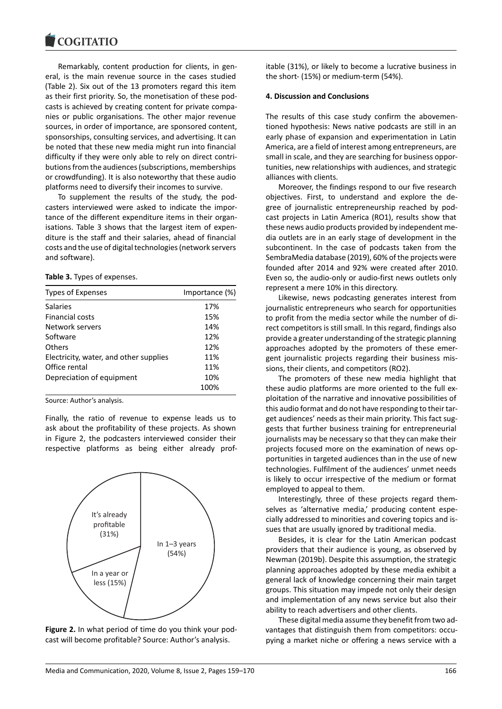Remarkably, content production for clients, in general, is the main revenue source in the cases studied (Table 2). Six out of the 13 promoters regard this item as their first priority. So, the monetisation of these podcasts is achieved by creating content for private companies or public organisations. The other major revenue sources, in order of importance, are sponsored content, sponsorships, consulting services, and advertising. It can be noted that these new media might run into financial difficulty if they were only able to rely on direct contributions from the audiences (subscriptions, memberships or crowdfunding). It is also noteworthy that these audio platforms need to diversify their incomes to survive.

To supplement the results of the study, the podcasters interviewed were asked to indicate the importance of the different expenditure items in their organisations. Table 3 shows that the largest item of expenditure is the staff and their salaries, ahead of financial costs and the use of digital technologies (network servers and software).

**Table 3.** Types of expenses.

| Types of Expenses                      | Importance (%) |
|----------------------------------------|----------------|
| <b>Salaries</b>                        | 17%            |
| Financial costs                        | 15%            |
| Network servers                        | 14%            |
| Software                               | 12%            |
| Others                                 | 12%            |
| Electricity, water, and other supplies | 11%            |
| Office rental                          | 11%            |
| Depreciation of equipment              | 10%            |
|                                        | 100%           |
|                                        |                |

Source: Author's analysis.

Finally, the ratio of revenue to expense leads us to ask about the profitability of these projects. As shown in Figure 2, the podcasters interviewed consider their respective platforms as being either already prof-



**Figure 2.** In what period of time do you think your podcast will become profitable? Source: Author's analysis.

itable (31%), or likely to become a lucrative business in the short- (15%) or medium-term (54%).

### **4. Discussion and Conclusions**

The results of this case study confirm the abovementioned hypothesis: News native podcasts are still in an early phase of expansion and experimentation in Latin America, are a field of interest among entrepreneurs, are small in scale, and they are searching for business opportunities, new relationships with audiences, and strategic alliances with clients.

Moreover, the findings respond to our five research objectives. First, to understand and explore the degree of journalistic entrepreneurship reached by podcast projects in Latin America (RO1), results show that these news audio products provided by independent media outlets are in an early stage of development in the subcontinent. In the case of podcasts taken from the SembraMedia database (2019), 60% of the projects were founded after 2014 and 92% were created after 2010. Even so, the audio-only or audio-first news outlets only represent a mere 10% in this directory.

Likewise, news podcasting generates interest from journalistic entrepreneurs who search for opportunities to profit from the media sector while the number of direct competitors is still small. In this regard, findings also provide a greater understanding of the strategic planning approaches adopted by the promoters of these emergent journalistic projects regarding their business missions, their clients, and competitors (RO2).

The promoters of these new media highlight that these audio platforms are more oriented to the full exploitation of the narrative and innovative possibilities of this audio format and do not have responding to their target audiences' needs as their main priority. This fact suggests that further business training for entrepreneurial journalists may be necessary so that they can make their projects focused more on the examination of news opportunities in targeted audiences than in the use of new technologies. Fulfilment of the audiences' unmet needs is likely to occur irrespective of the medium or format employed to appeal to them.

Interestingly, three of these projects regard themselves as 'alternative media,' producing content especially addressed to minorities and covering topics and issues that are usually ignored by traditional media.

Besides, it is clear for the Latin American podcast providers that their audience is young, as observed by Newman (2019b). Despite this assumption, the strategic planning approaches adopted by these media exhibit a general lack of knowledge concerning their main target groups. This situation may impede not only their design and implementation of any news service but also their ability to reach advertisers and other clients.

These digital media assume they benefit from two advantages that distinguish them from competitors: occupying a market niche or offering a news service with a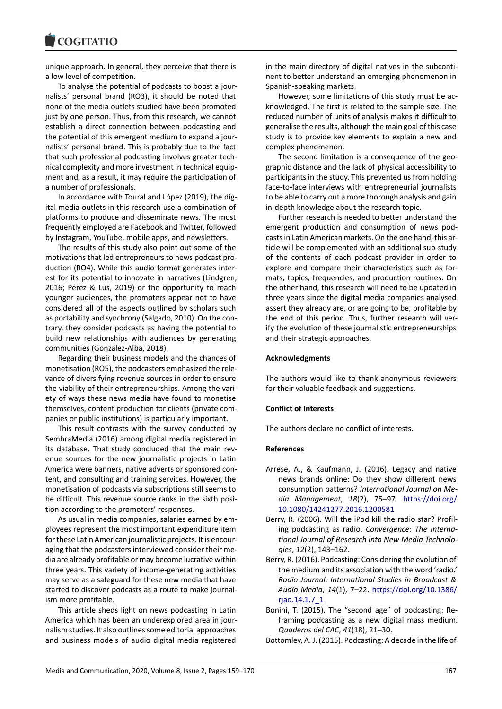

unique approach. In general, they perceive that there is a low level of competition.

To analyse the potential of podcasts to boost a journalists' personal brand (RO3), it should be noted that none of the media outlets studied have been promoted just by one person. Thus, from this research, we cannot establish a direct connection between podcasting and the potential of this emergent medium to expand a journalists' personal brand. This is probably due to the fact that such professional podcasting involves greater technical complexity and more investment in technical equipment and, as a result, it may require the participation of a number of professionals.

In accordance with Toural and López (2019), the digital media outlets in this research use a combination of platforms to produce and disseminate news. The most frequently employed are Facebook and Twitter, followed by Instagram, YouTube, mobile apps, and newsletters.

The results of this study also point out some of the motivations that led entrepreneurs to news podcast production (RO4). While this audio format generates interest for its potential to innovate in narratives (Lindgren, 2016; Pérez & Lus, 2019) or the opportunity to reach younger audiences, the promoters appear not to have considered all of the aspects outlined by scholars such as portability and synchrony (Salgado, 2010). On the contrary, they consider podcasts as having the potential to build new relationships with audiences by generating communities (González-Alba, 2018).

Regarding their business models and the chances of monetisation (RO5), the podcasters emphasized the relevance of diversifying revenue sources in order to ensure the viability of their entrepreneurships. Among the variety of ways these news media have found to monetise themselves, content production for clients (private companies or public institutions) is particularly important.

This result contrasts with the survey conducted by SembraMedia (2016) among digital media registered in its database. That study concluded that the main revenue sources for the new journalistic projects in Latin America were banners, native adverts or sponsored content, and consulting and training services. However, the monetisation of podcasts via subscriptions still seems to be difficult. This revenue source ranks in the sixth position according to the promoters' responses.

As usual in media companies, salaries earned by employees represent the most important expenditure item for these Latin American journalistic projects. It is encouraging that the podcasters interviewed consider their media are already profitable or may become lucrative within three years. This variety of income-generating activities may serve as a safeguard for these new media that have started to discover podcasts as a route to make journalism more profitable.

This article sheds light on news podcasting in Latin America which has been an underexplored area in journalism studies. It also outlines some editorial approaches and business models of audio digital media registered

in the main directory of digital natives in the subcontinent to better understand an emerging phenomenon in Spanish-speaking markets.

However, some limitations of this study must be acknowledged. The first is related to the sample size. The reduced number of units of analysis makes it difficult to generalise the results, although the main goal of this case study is to provide key elements to explain a new and complex phenomenon.

The second limitation is a consequence of the geographic distance and the lack of physical accessibility to participants in the study. This prevented us from holding face-to-face interviews with entrepreneurial journalists to be able to carry out a more thorough analysis and gain in-depth knowledge about the research topic.

Further research is needed to better understand the emergent production and consumption of news podcasts in Latin American markets. On the one hand, this article will be complemented with an additional sub-study of the contents of each podcast provider in order to explore and compare their characteristics such as formats, topics, frequencies, and production routines. On the other hand, this research will need to be updated in three years since the digital media companies analysed assert they already are, or are going to be, profitable by the end of this period. Thus, further research will verify the evolution of these journalistic entrepreneurships and their strategic approaches.

# **Acknowledgments**

The authors would like to thank anonymous reviewers for their valuable feedback and suggestions.

## **Conflict of Interests**

The authors declare no conflict of interests.

### **References**

- Arrese, A., & Kaufmann, J. (2016). Legacy and native news brands online: Do they show different news consumption patterns? *International Journal on Media Management*, *18*(2), 75–97. [https://doi.org/](https://doi.org/10.1080/14241277.2016.1200581) [10.1080/14241277.2016.1200581](https://doi.org/10.1080/14241277.2016.1200581)
- Berry, R. (2006). Will the iPod kill the radio star? Profiling podcasting as radio. *Convergence: The International Journal of Research into New Media Technologies*, *12*(2), 143–162.
- Berry, R. (2016). Podcasting: Considering the evolution of the medium and its association with the word 'radio.' *Radio Journal: International Studies in Broadcast & Audio Media*, *14*(1), 7–22. [https://doi.org/10.1386/](https://doi.org/10.1386/rjao.14.1.7_1) [rjao.14.1.7\\_1](https://doi.org/10.1386/rjao.14.1.7_1)
- Bonini, T. (2015). The "second age" of podcasting: Reframing podcasting as a new digital mass medium. *Quaderns del CAC*, *41*(18), 21–30.

Bottomley, A. J. (2015). Podcasting: A decade in the life of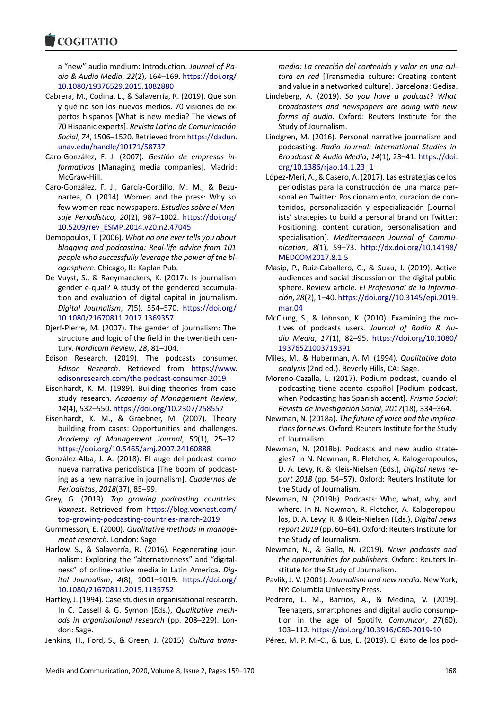a "new" audio medium: Introduction. *Journal of Radio & Audio Media*, *22*(2), 164–169. [https://doi.org/](https://doi.org/10.1080/19376529.2015.1082880) [10.1080/19376529.2015.1082880](https://doi.org/10.1080/19376529.2015.1082880)

- Cabrera, M., Codina, L., & Salaverría, R. (2019). Qué son y qué no son los nuevos medios. 70 visiones de expertos hispanos [What is new media? The views of 70 Hispanic experts]. *Revista Latina de Comunicación Social*, *74*, 1506–1520. Retrieved from [https://dadun.](https://dadun.unav.edu/handle/10171/58737) [unav.edu/handle/10171/58737](https://dadun.unav.edu/handle/10171/58737)
- Caro-González, F. J. (2007). *Gestión de empresas informativas* [Managing media companies]. Madrid: McGraw-Hill.
- Caro-González, F. J., García-Gordillo, M. M., & Bezunartea, O. (2014). Women and the press: Why so few women read newspapers. *Estudios sobre el Mensaje Periodístico*, *20*(2), 987–1002. [https://doi.org/](https://doi.org/10.5209/rev_ESMP.2014.v20.n2.47045) [10.5209/rev\\_ESMP.2014.v20.n2.47045](https://doi.org/10.5209/rev_ESMP.2014.v20.n2.47045)
- Demopoulos, T. (2006). *What no one ever tells you about blogging and podcasting: Real-life advice from 101 people who successfully leverage the power of the blogosphere*. Chicago, IL: Kaplan Pub.
- De Vuyst, S., & Raeymaeckers, K. (2017). Is journalism gender e-qual? A study of the gendered accumulation and evaluation of digital capital in journalism. *Digital Journalism*, *7*(5), 554–570. [https://doi.org/](https://doi.org/10.1080/21670811.2017.1369357) [10.1080/21670811.2017.1369357](https://doi.org/10.1080/21670811.2017.1369357)
- Djerf-Pierre, M. (2007). The gender of journalism: The structure and logic of the field in the twentieth century. *Nordicom Review*, *28*, 81–104.
- Edison Research. (2019). The podcasts consumer. *Edison Research*. Retrieved from [https://www.](https://www.edisonresearch.com/the-podcast-consumer-2019) [edisonresearch.com/the-podcast-consumer-2019](https://www.edisonresearch.com/the-podcast-consumer-2019)
- Eisenhardt, K. M. (1989). Building theories from case study research*. Academy of Management Review*, *14*(4), 532–550. <https://doi.org/10.2307/258557>
- Eisenhardt, K. M., & Graebner, M. (2007). Theory building from cases: Opportunities and challenges. *Academy of Management Journal*, *50*(1), 25–32. <https://doi.org/10.5465/amj.2007.24160888>
- González-Alba, J. A. (2018). El auge del pódcast como nueva narrativa periodística [The boom of podcasting as a new narrative in journalism]. *Cuadernos de Periodistas*, *2018*(37), 85–99.
- Grey, G. (2019). *Top growing podcasting countries*. *Voxnest*. Retrieved from [https://blog.voxnest.com/](https://blog.voxnest.com/top-growing-podcasting-countries-march-2019) [top-growing-podcasting-countries-march-2019](https://blog.voxnest.com/top-growing-podcasting-countries-march-2019)
- Gummesson, E. (2000). *Qualitative methods in management research*. London: Sage
- Harlow, S., & Salaverría, R. (2016). Regenerating journalism: Exploring the "alternativeness" and "digitalness" of online-native media in Latin America. *Digital Journalism*, *4*(8), 1001–1019. [https://doi.org/](https://doi.org/10.1080/21670811.2015.1135752) [10.1080/21670811.2015.1135752](https://doi.org/10.1080/21670811.2015.1135752)
- Hartley, J. (1994). Case studies in organisational research. In C. Cassell & G. Symon (Eds.), *Qualitative methods in organisational research* (pp. 208–229). London: Sage.
- Jenkins, H., Ford, S., & Green, J. (2015). *Cultura trans-*

*media: La creación del contenido y valor en una cultura en red* [Transmedia culture: Creating content and value in a networked culture]. Barcelona: Gedisa.

- Lindeberg, A. (2019). *So you have a podcast? What broadcasters and newspapers are doing with new forms of audio*. Oxford: Reuters Institute for the Study of Journalism.
- Lindgren, M. (2016). Personal narrative journalism and podcasting. *Radio Journal: International Studies in Broadcast & Audio Media*, *14*(1), 23–41. [https://doi.](https://doi.org/10.1386/rjao.14.1.23_1) [org/10.1386/rjao.14.1.23\\_1](https://doi.org/10.1386/rjao.14.1.23_1)
- López-Meri, A., & Casero, A. (2017). Las estrategias de los periodistas para la construcción de una marca personal en Twitter: Posicionamiento, curación de contenidos, personalización y especialización [Journalists' strategies to build a personal brand on Twitter: Positioning, content curation, personalisation and specialisation]. *Mediterranean Journal of Communication*, *8*(1), 59–73. [http://dx.doi.org/10.14198/](http://dx.doi.org/10.14198/MEDCOM2017.8.1.5) [MEDCOM2017.8.1.5](http://dx.doi.org/10.14198/MEDCOM2017.8.1.5)
- Masip, P., Ruiz-Caballero, C., & Suau, J. (2019). Active audiences and social discussion on the digital public sphere. Review article. *El Profesional de la Información*, *28*(2), 1–40. [https://doi.org//10.3145/epi.2019.](https://doi.org//10.3145/epi.2019.mar.04) [mar.04](https://doi.org//10.3145/epi.2019.mar.04)
- McClung, S., & Johnson, K. (2010). Examining the motives of podcasts users*. Journal of Radio & Audio Media*, *17*(1), 82–95. [https://doi.org/10.1080/](https://doi.org/10.1080/19376521003719391) [19376521003719391](https://doi.org/10.1080/19376521003719391)
- Miles, M., & Huberman, A. M. (1994). *Qualitative data analysis* (2nd ed.). Beverly Hills, CA: Sage.
- Moreno-Cazalla, L. (2017). Podium podcast, cuando el podcasting tiene acento español [Podium podcast, when Podcasting has Spanish accent]. *Prisma Social: Revista de Investigación Social*, *2017*(18), 334–364.
- Newman, N. (2018a). *The future of voice and the implications for news*. Oxford: Reuters Institute for the Study of Journalism.
- Newman, N. (2018b). Podcasts and new audio strategies? In N. Newman, R. Fletcher, A. Kalogeropoulos, D. A. Levy, R. & Kleis-Nielsen (Eds.), *Digital news report 2018* (pp. 54–57). Oxford: Reuters Institute for the Study of Journalism.
- Newman, N. (2019b). Podcasts: Who, what, why, and where. In N. Newman, R. Fletcher, A. Kalogeropoulos, D. A. Levy, R. & Kleis-Nielsen (Eds.), *Digital news report 2019* (pp. 60–64). Oxford: Reuters Institute for the Study of Journalism.
- Newman, N., & Gallo, N. (2019). *News podcasts and the opportunities for publishers*. Oxford: Reuters Institute for the Study of Journalism.
- Pavlik, J. V. (2001). *Journalism and new media*. New York, NY: Columbia University Press.
- Pedrero, L. M., Barrios, A., & Medina, V. (2019). Teenagers, smartphones and digital audio consumption in the age of Spotify. *Comunicar*, *27*(60), 103–112. <https://doi.org/10.3916/C60-2019-10>
- Pérez, M. P. M.-C., & Lus, E. (2019). El éxito de los pod-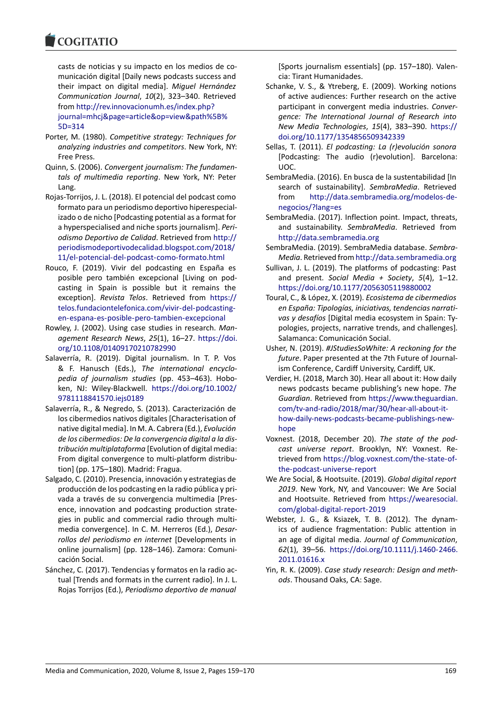casts de noticias y su impacto en los medios de comunicación digital [Daily news podcasts success and their impact on digital media]. *Miguel Hernández Communication Journal*, *10*(2), 323–340. Retrieved from [http://rev.innovacionumh.es/index.php?](http://rev.innovacionumh.es/index.php?journal=mhcj&page=article&op=view&path%5B%5D=314) [journal=mhcj&page=article&op=view&path%5B%](http://rev.innovacionumh.es/index.php?journal=mhcj&page=article&op=view&path%5B%5D=314) [5D=314](http://rev.innovacionumh.es/index.php?journal=mhcj&page=article&op=view&path%5B%5D=314)

- Porter, M. (1980). *Competitive strategy: Techniques for analyzing industries and competitors*. New York, NY: Free Press.
- Quinn, S. (2006). *Convergent journalism: The fundamentals of multimedia reporting*. New York, NY: Peter Lang.
- Rojas-Torrijos, J. L. (2018). El potencial del podcast como formato para un periodismo deportivo hiperespecializado o de nicho [Podcasting potential as a format for a hyperspecialised and niche sports journalism]. *Periodismo Deportivo de Calidad*. Retrieved from [http://](http://periodismodeportivodecalidad.blogspot.com/2018/11/el-potencial-del-podcast-como-formato.html) [periodismodeportivodecalidad.blogspot.com/2018/](http://periodismodeportivodecalidad.blogspot.com/2018/11/el-potencial-del-podcast-como-formato.html) [11/el-potencial-del-podcast-como-formato.html](http://periodismodeportivodecalidad.blogspot.com/2018/11/el-potencial-del-podcast-como-formato.html)
- Rouco, F. (2019). Vivir del podcasting en España es posible pero también excepcional [Living on podcasting in Spain is possible but it remains the exception]. *Revista Telos*. Retrieved from [https://](https://telos.fundaciontelefonica.com/vivir-del-podcasting-en-espana-es-posible-pero-tambien-excepcional) [telos.fundaciontelefonica.com/vivir-del-podcasting](https://telos.fundaciontelefonica.com/vivir-del-podcasting-en-espana-es-posible-pero-tambien-excepcional)[en-espana-es-posible-pero-tambien-excepcional](https://telos.fundaciontelefonica.com/vivir-del-podcasting-en-espana-es-posible-pero-tambien-excepcional)
- Rowley, J. (2002). Using case studies in research. *Management Research News*, *25*(1), 16–27. [https://doi.](https://doi.org/10.1108/01409170210782990) [org/10.1108/01409170210782990](https://doi.org/10.1108/01409170210782990)
- Salaverría, R. (2019). Digital journalism. In T. P. Vos & F. Hanusch (Eds.), *The international encyclopedia of journalism studies* (pp. 453–463). Hoboken, NJ: Wiley-Blackwell. [https://doi.org/10.1002/](https://doi.org/ 10.1002/9781118841570.iejs0189) [9781118841570.iejs0189](https://doi.org/ 10.1002/9781118841570.iejs0189)
- Salaverría, R., & Negredo, S. (2013). Caracterización de los cibermedios nativos digitales [Characterisation of native digital media]. In M. A. Cabrera (Ed.), *Evolución de los cibermedios: De la convergencia digital a la distribución multiplataforma* [Evolution of digital media: From digital convergence to multi-platform distribution] (pp. 175–180). Madrid: Fragua.
- Salgado, C. (2010). Presencia, innovación y estrategias de producción de los podcasting en la radio pública y privada a través de su convergencia multimedia [Presence, innovation and podcasting production strategies in public and commercial radio through multimedia convergence]. In C. M. Herreros (Ed.), *Desarrollos del periodismo en internet* [Developments in online journalism] (pp. 128–146). Zamora: Comunicación Social.
- Sánchez, C. (2017). Tendencias y formatos en la radio actual [Trends and formats in the current radio]. In J. L. Rojas Torrijos (Ed.), *Periodismo deportivo de manual*

[Sports journalism essentials] (pp. 157–180). Valencia: Tirant Humanidades.

- Schanke, V. S., & Ytreberg, E. (2009). Working notions of active audiences: Further research on the active participant in convergent media industries. *Convergence: The International Journal of Research into New Media Technologies*, *15*(4), 383–390. [https://](https://doi.org/10.1177/1354856509342339) [doi.org/10.1177/1354856509342339](https://doi.org/10.1177/1354856509342339)
- Sellas, T. (2011). *El podcasting: La (r)evolución sonora* [Podcasting: The audio (r)evolution]. Barcelona: UOC.
- SembraMedia. (2016). En busca de la sustentabilidad [In search of sustainability]. *SembraMedia*. Retrieved from [http://data.sembramedia.org/modelos-de](http://data.sembramedia.org/modelos-de-negocios/?lang=es)[negocios/?lang=es](http://data.sembramedia.org/modelos-de-negocios/?lang=es)
- SembraMedia. (2017). Inflection point. Impact, threats, and sustainability. *SembraMedia*. Retrieved from <http://data.sembramedia.org>
- SembraMedia. (2019). SembraMedia database. *Sembra-Media*. Retrieved from <http://data.sembramedia.org>
- Sullivan, J. L. (2019). The platforms of podcasting: Past and present. *Social Media + Society*, *5*(4), 1–12. <https://doi.org/10.1177/2056305119880002>
- Toural, C., & López, X. (2019). *Ecosistema de cibermedios en España: Tipologías, iniciativas, tendencias narrativas y desafíos* [Digital media ecosystem in Spain: Typologies, projects, narrative trends, and challenges]*.* Salamanca: Comunicación Social.
- Usher, N. (2019). *#JStudiesSoWhite: A reckoning for the future*. Paper presented at the 7th Future of Journalism Conference, Cardiff University, Cardiff, UK.
- Verdier, H. (2018, March 30). Hear all about it: How daily news podcasts became publishing's new hope. *The Guardian*. Retrieved from [https://www.theguardian.](https://www.theguardian.com/tv-and-radio/2018/mar/30/hear-all-about-it-how-daily-news-podcasts-became-publishings-new-hope) [com/tv-and-radio/2018/mar/30/hear-all-about-it](https://www.theguardian.com/tv-and-radio/2018/mar/30/hear-all-about-it-how-daily-news-podcasts-became-publishings-new-hope)[how-daily-news-podcasts-became-publishings-new](https://www.theguardian.com/tv-and-radio/2018/mar/30/hear-all-about-it-how-daily-news-podcasts-became-publishings-new-hope)[hope](https://www.theguardian.com/tv-and-radio/2018/mar/30/hear-all-about-it-how-daily-news-podcasts-became-publishings-new-hope)
- Voxnest. (2018, December 20). *The state of the podcast universe report*. Brooklyn, NY: Voxnest. Retrieved from [https://blog.voxnest.com/the-state-of](https://blog.voxnest.com/the-state-of-the-podcast-universe-report)[the-podcast-universe-report](https://blog.voxnest.com/the-state-of-the-podcast-universe-report)
- We Are Social, & Hootsuite. (2019). *Global digital report 2019*. New York, NY, and Vancouver: We Are Social and Hootsuite. Retrieved from [https://wearesocial.](https://wearesocial.com/global-digital-report-2019) [com/global-digital-report-2019](https://wearesocial.com/global-digital-report-2019)
- Webster, J. G., & Ksiazek, T. B. (2012). The dynamics of audience fragmentation: Public attention in an age of digital media. *Journal of Communication*, *62*(1), 39–56. [https://doi.org/10.1111/j.1460-2466.](https://doi.org/10.1111/j.1460-2466.2011.01616.x) [2011.01616.x](https://doi.org/10.1111/j.1460-2466.2011.01616.x)
- Yin, R. K. (2009). *Case study research: Design and methods*. Thousand Oaks, CA: Sage.